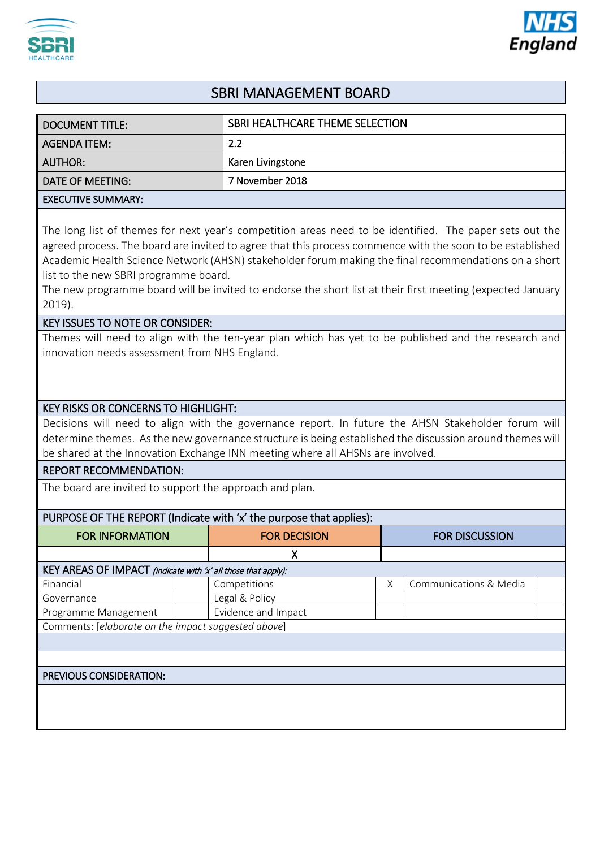



# SBRI MANAGEMENT BOARD

| DOCUMENT TITLE:           | <b>SBRI HEALTHCARE THEME SELECTION</b> |
|---------------------------|----------------------------------------|
| <b>AGENDA ITEM:</b>       | 2.2                                    |
| AUTHOR:                   | Karen Livingstone                      |
| DATE OF MEETING:          | 7 November 2018                        |
| <b>EXECUTIVE SUMMARY:</b> |                                        |

The long list of themes for next year's competition areas need to be identified. The paper sets out the agreed process. The board are invited to agree that this process commence with the soon to be established Academic Health Science Network (AHSN) stakeholder forum making the final recommendations on a short list to the new SBRI programme board.

The new programme board will be invited to endorse the short list at their first meeting (expected January 2019).

## KEY ISSUES TO NOTE OR CONSIDER:

Themes will need to align with the ten-year plan which has yet to be published and the research and innovation needs assessment from NHS England.

# KEY RISKS OR CONCERNS TO HIGHLIGHT:

Decisions will need to align with the governance report. In future the AHSN Stakeholder forum will determine themes. As the new governance structure is being established the discussion around themes will be shared at the Innovation Exchange INN meeting where all AHSNs are involved.

## REPORT RECOMMENDATION:

The board are invited to support the approach and plan.

# PURPOSE OF THE REPORT (Indicate with 'x' the purpose that applies):

| <b>FOR INFORMATION</b>                                         | <b>FOR DECISION</b> |   | <b>FOR DISCUSSION</b>  |  |  |  |
|----------------------------------------------------------------|---------------------|---|------------------------|--|--|--|
|                                                                | x                   |   |                        |  |  |  |
| KEY AREAS OF IMPACT (Indicate with $x'$ all those that apply): |                     |   |                        |  |  |  |
| Financial                                                      | Competitions        | X | Communications & Media |  |  |  |
| Governance                                                     | Legal & Policy      |   |                        |  |  |  |
| Programme Management                                           | Evidence and Impact |   |                        |  |  |  |
| Comments: [elaborate on the impact suggested above]            |                     |   |                        |  |  |  |
|                                                                |                     |   |                        |  |  |  |
|                                                                |                     |   |                        |  |  |  |
| <b>PREVIOUS CONSIDERATION:</b>                                 |                     |   |                        |  |  |  |
|                                                                |                     |   |                        |  |  |  |
|                                                                |                     |   |                        |  |  |  |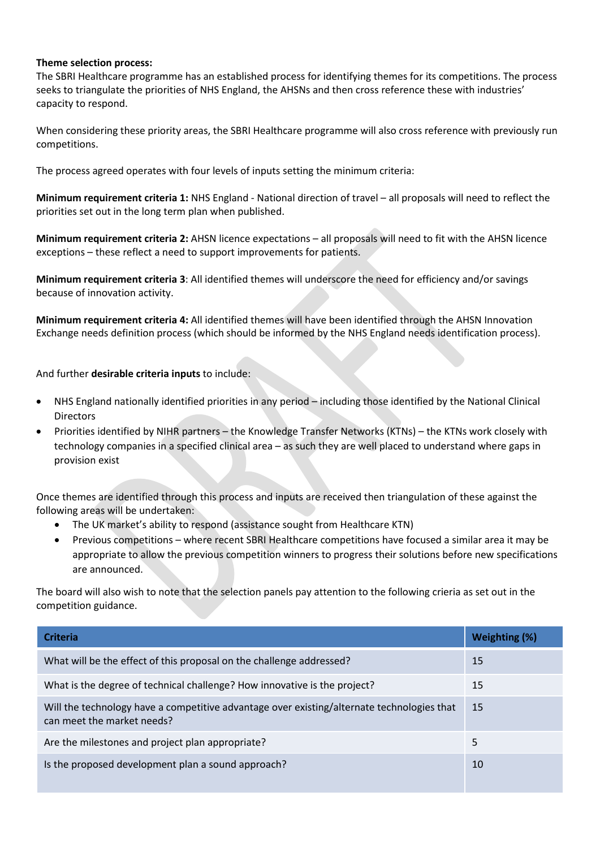#### **Theme selection process:**

The SBRI Healthcare programme has an established process for identifying themes for its competitions. The process seeks to triangulate the priorities of NHS England, the AHSNs and then cross reference these with industries' capacity to respond.

When considering these priority areas, the SBRI Healthcare programme will also cross reference with previously run competitions.

The process agreed operates with four levels of inputs setting the minimum criteria:

**Minimum requirement criteria 1:** NHS England - National direction of travel – all proposals will need to reflect the priorities set out in the long term plan when published.

**Minimum requirement criteria 2:** AHSN licence expectations – all proposals will need to fit with the AHSN licence exceptions – these reflect a need to support improvements for patients.

**Minimum requirement criteria 3**: All identified themes will underscore the need for efficiency and/or savings because of innovation activity.

**Minimum requirement criteria 4:** All identified themes will have been identified through the AHSN Innovation Exchange needs definition process (which should be informed by the NHS England needs identification process).

#### And further **desirable criteria inputs** to include:

- NHS England nationally identified priorities in any period including those identified by the National Clinical **Directors**
- Priorities identified by NIHR partners the Knowledge Transfer Networks (KTNs) the KTNs work closely with technology companies in a specified clinical area – as such they are well placed to understand where gaps in provision exist

Once themes are identified through this process and inputs are received then triangulation of these against the following areas will be undertaken:

- The UK market's ability to respond (assistance sought from Healthcare KTN)
- Previous competitions where recent SBRI Healthcare competitions have focused a similar area it may be appropriate to allow the previous competition winners to progress their solutions before new specifications are announced.

The board will also wish to note that the selection panels pay attention to the following crieria as set out in the competition guidance.

| <b>Criteria</b>                                                                                                          | Weighting (%) |
|--------------------------------------------------------------------------------------------------------------------------|---------------|
| What will be the effect of this proposal on the challenge addressed?                                                     | 15            |
| What is the degree of technical challenge? How innovative is the project?                                                | 15            |
| Will the technology have a competitive advantage over existing/alternate technologies that<br>can meet the market needs? | 15            |
| Are the milestones and project plan appropriate?                                                                         | 5             |
| Is the proposed development plan a sound approach?                                                                       | 10            |